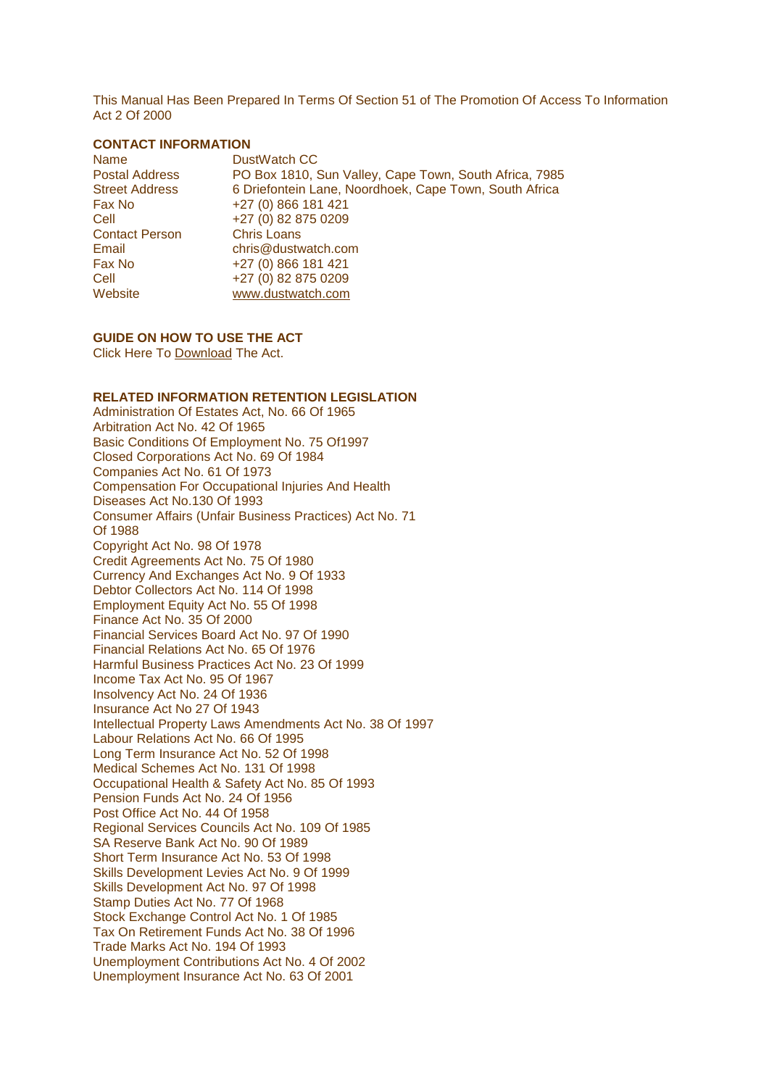This Manual Has Been Prepared In Terms Of Section 51 of The Promotion Of Access To Information Act 2 Of 2000

## **CONTACT INFORMATION**

| Name                  | DustWatch CC                                           |
|-----------------------|--------------------------------------------------------|
| <b>Postal Address</b> | PO Box 1810, Sun Valley, Cape Town, South Africa, 7985 |
| <b>Street Address</b> | 6 Driefontein Lane, Noordhoek, Cape Town, South Africa |
| Fax No                | +27 (0) 866 181 421                                    |
| Cell                  | +27 (0) 82 875 0209                                    |
| <b>Contact Person</b> | <b>Chris Loans</b>                                     |
| Email                 | chris@dustwatch.com                                    |
| Fax No                | +27 (0) 866 181 421                                    |
| Cell                  | +27 (0) 82 875 0209                                    |
| Website               | www.dustwatch.com                                      |

## **GUIDE ON HOW TO USE THE ACT**

Click Here To [Download](http://www.acts.co.za/prom_of_access_to_info/index.htm) The Act.

## **RELATED INFORMATION RETENTION LEGISLATION**

Administration Of Estates Act, No. 66 Of 1965 Arbitration Act No. 42 Of 1965 Basic Conditions Of Employment No. 75 Of1997 Closed Corporations Act No. 69 Of 1984 Companies Act No. 61 Of 1973 Compensation For Occupational Injuries And Health Diseases Act No.130 Of 1993 Consumer Affairs (Unfair Business Practices) Act No. 71 Of 1988 Copyright Act No. 98 Of 1978 Credit Agreements Act No. 75 Of 1980 Currency And Exchanges Act No. 9 Of 1933 Debtor Collectors Act No. 114 Of 1998 Employment Equity Act No. 55 Of 1998 Finance Act No. 35 Of 2000 Financial Services Board Act No. 97 Of 1990 Financial Relations Act No. 65 Of 1976 Harmful Business Practices Act No. 23 Of 1999 Income Tax Act No. 95 Of 1967 Insolvency Act No. 24 Of 1936 Insurance Act No 27 Of 1943 Intellectual Property Laws Amendments Act No. 38 Of 1997 Labour Relations Act No. 66 Of 1995 Long Term Insurance Act No. 52 Of 1998 Medical Schemes Act No. 131 Of 1998 Occupational Health & Safety Act No. 85 Of 1993 Pension Funds Act No. 24 Of 1956 Post Office Act No. 44 Of 1958 Regional Services Councils Act No. 109 Of 1985 SA Reserve Bank Act No. 90 Of 1989 Short Term Insurance Act No. 53 Of 1998 Skills Development Levies Act No. 9 Of 1999 Skills Development Act No. 97 Of 1998 Stamp Duties Act No. 77 Of 1968 Stock Exchange Control Act No. 1 Of 1985 Tax On Retirement Funds Act No. 38 Of 1996 Trade Marks Act No. 194 Of 1993 Unemployment Contributions Act No. 4 Of 2002 Unemployment Insurance Act No. 63 Of 2001